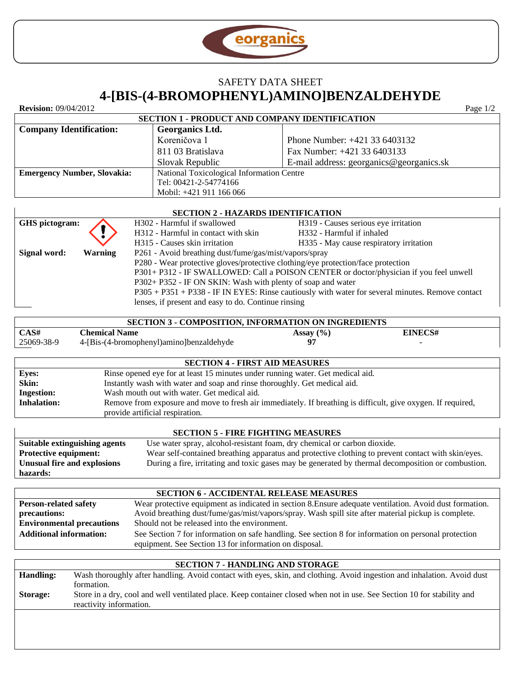

# SAFETY DATA SHEET **4-[BIS-(4-BROMOPHENYL)AMINO]BENZALDEHYDE**

**Revision:** 09/04/2012 Page 1/2

#### **SECTION 1 - PRODUCT AND COMPANY IDENTIFICATION Company Identification: Georganics Ltd.** Koreničova 1 811 03 Bratislava Slovak Republic Phone Number: +421 33 6403132 Fax Number: +421 33 6403133 E-mail address: georganics@georganics.sk **Emergency Number, Slovakia:** National Toxicological Information Centre Tel: 00421-2-54774166 Mobil: +421 911 166 066

| <b>SECTION 2 - HAZARDS IDENTIFICATION</b> |                                                     |                                                                                                  |                                                                                        |
|-------------------------------------------|-----------------------------------------------------|--------------------------------------------------------------------------------------------------|----------------------------------------------------------------------------------------|
| GHS pictogram:                            |                                                     | H302 - Harmful if swallowed                                                                      | H319 - Causes serious eye irritation                                                   |
|                                           |                                                     | H312 - Harmful in contact with skin                                                              | H332 - Harmful if inhaled                                                              |
|                                           |                                                     | H315 - Causes skin irritation                                                                    | H335 - May cause respiratory irritation                                                |
| Signal word:                              | <b>Warning</b>                                      | P261 - Avoid breathing dust/fume/gas/mist/vapors/spray                                           |                                                                                        |
|                                           |                                                     | P280 - Wear protective gloves/protective clothing/eye protection/face protection                 |                                                                                        |
|                                           |                                                     |                                                                                                  | P301+ P312 - IF SWALLOWED: Call a POISON CENTER or doctor/physician if you feel unwell |
|                                           |                                                     | P302+ P352 - IF ON SKIN: Wash with plenty of soap and water                                      |                                                                                        |
|                                           |                                                     | P305 + P351 + P338 - IF IN EYES: Rinse cautiously with water for several minutes. Remove contact |                                                                                        |
|                                           | lenses, if present and easy to do. Continue rinsing |                                                                                                  |                                                                                        |

| <b>SECTION 3 - COMPOSITION. INFORMATION ON INGREDIENTS</b> |                                          |               |         |  |
|------------------------------------------------------------|------------------------------------------|---------------|---------|--|
| CAS#                                                       | <b>Chemical Name</b>                     | Assay $(\% )$ | EINECS# |  |
| 25069-38-9                                                 | 4-[Bis-(4-bromophenyl)amino]benzaldehyde | 07            |         |  |

| <b>SECTION 4 - FIRST AID MEASURES</b> |                                                                                                              |  |
|---------------------------------------|--------------------------------------------------------------------------------------------------------------|--|
| <b>Eyes:</b>                          | Rinse opened eye for at least 15 minutes under running water. Get medical aid.                               |  |
| Skin:                                 | Instantly wash with water and soap and rinse thoroughly. Get medical aid.                                    |  |
| <b>Ingestion:</b>                     | Wash mouth out with water. Get medical aid.                                                                  |  |
| <b>Inhalation:</b>                    | Remove from exposure and move to fresh air immediately. If breathing is difficult, give oxygen. If required, |  |
|                                       | provide artificial respiration.                                                                              |  |

#### **SECTION 5 - FIRE FIGHTING MEASURES**

| Suitable extinguishing agents | Use water spray, alcohol-resistant foam, dry chemical or carbon dioxide.                           |
|-------------------------------|----------------------------------------------------------------------------------------------------|
| <b>Protective equipment:</b>  | Wear self-contained breathing apparatus and protective clothing to prevent contact with skin/eyes. |
| Unusual fire and explosions   | During a fire, irritating and toxic gases may be generated by thermal decomposition or combustion. |
| hazards:                      |                                                                                                    |

## **SECTION 6 - ACCIDENTAL RELEASE MEASURES**

| <b>Person-related safety</b>     | Wear protective equipment as indicated in section 8. Ensure adequate ventilation. Avoid dust formation. |
|----------------------------------|---------------------------------------------------------------------------------------------------------|
| precautions:                     | Avoid breathing dust/fume/gas/mist/vapors/spray. Wash spill site after material pickup is complete.     |
| <b>Environmental precautions</b> | Should not be released into the environment.                                                            |
| <b>Additional information:</b>   | See Section 7 for information on safe handling. See section 8 for information on personal protection    |
|                                  | equipment. See Section 13 for information on disposal.                                                  |

| <b>SECTION 7 - HANDLING AND STORAGE</b> |                                                                                                                         |  |
|-----------------------------------------|-------------------------------------------------------------------------------------------------------------------------|--|
| <b>Handling:</b>                        | Wash thoroughly after handling. Avoid contact with eyes, skin, and clothing. Avoid ingestion and inhalation. Avoid dust |  |
|                                         | formation.                                                                                                              |  |
| Storage:                                | Store in a dry, cool and well ventilated place. Keep container closed when not in use. See Section 10 for stability and |  |
|                                         | reactivity information.                                                                                                 |  |
|                                         |                                                                                                                         |  |